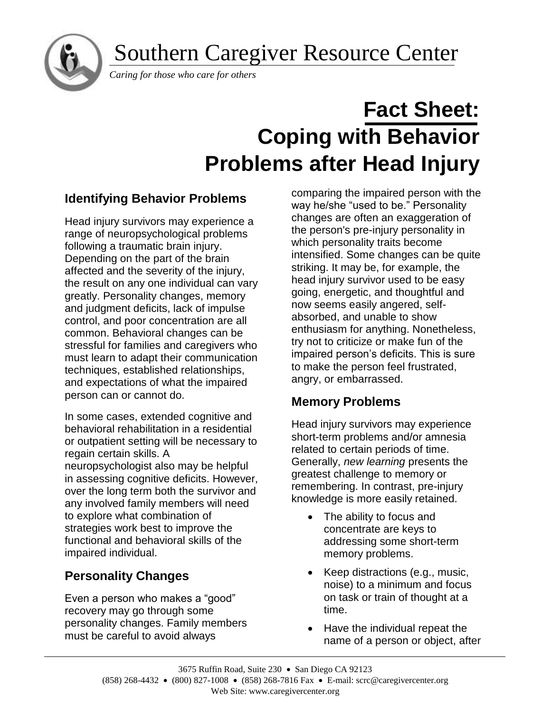Southern Caregiver Resource Center



*Caring for those who care for others*

# **Fact Sheet: Coping with Behavior Problems after Head Injury**

# **Identifying Behavior Problems**

Head injury survivors may experience a range of neuropsychological problems following a traumatic brain injury. Depending on the part of the brain affected and the severity of the injury, the result on any one individual can vary greatly. Personality changes, memory and judgment deficits, lack of impulse control, and poor concentration are all common. Behavioral changes can be stressful for families and caregivers who must learn to adapt their communication techniques, established relationships, and expectations of what the impaired person can or cannot do.

In some cases, extended cognitive and behavioral rehabilitation in a residential or outpatient setting will be necessary to regain certain skills. A neuropsychologist also may be helpful in assessing cognitive deficits. However, over the long term both the survivor and any involved family members will need to explore what combination of strategies work best to improve the functional and behavioral skills of the impaired individual.

# **Personality Changes**

Even a person who makes a "good" recovery may go through some personality changes. Family members must be careful to avoid always

comparing the impaired person with the way he/she "used to be." Personality changes are often an exaggeration of the person's pre-injury personality in which personality traits become intensified. Some changes can be quite striking. It may be, for example, the head injury survivor used to be easy going, energetic, and thoughtful and now seems easily angered, selfabsorbed, and unable to show enthusiasm for anything. Nonetheless, try not to criticize or make fun of the impaired person's deficits. This is sure to make the person feel frustrated, angry, or embarrassed.

# **Memory Problems**

Head injury survivors may experience short-term problems and/or amnesia related to certain periods of time. Generally, *new learning* presents the greatest challenge to memory or remembering. In contrast, pre-injury knowledge is more easily retained.

- The ability to focus and concentrate are keys to addressing some short-term memory problems.
- Keep distractions (e.g., music, noise) to a minimum and focus on task or train of thought at a time.
- Have the individual repeat the name of a person or object, after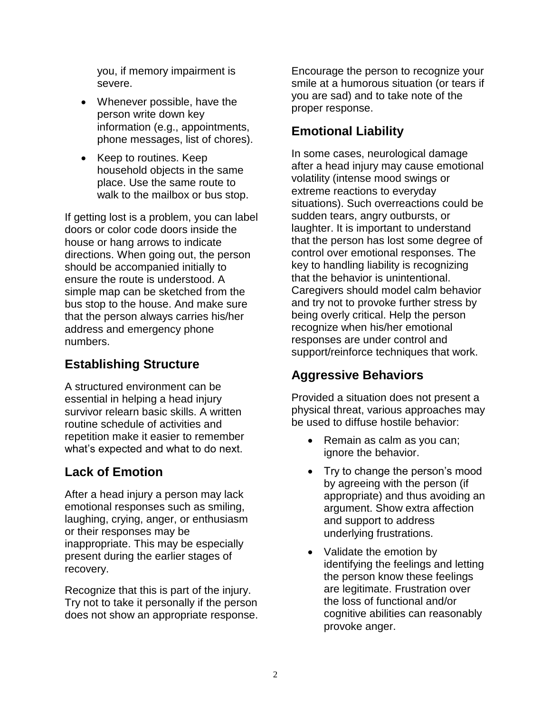you, if memory impairment is severe.

- Whenever possible, have the person write down key information (e.g., appointments, phone messages, list of chores).
- Keep to routines. Keep household objects in the same place. Use the same route to walk to the mailbox or bus stop.

If getting lost is a problem, you can label doors or color code doors inside the house or hang arrows to indicate directions. When going out, the person should be accompanied initially to ensure the route is understood. A simple map can be sketched from the bus stop to the house. And make sure that the person always carries his/her address and emergency phone numbers.

# **Establishing Structure**

A structured environment can be essential in helping a head injury survivor relearn basic skills. A written routine schedule of activities and repetition make it easier to remember what's expected and what to do next.

# **Lack of Emotion**

After a head injury a person may lack emotional responses such as smiling, laughing, crying, anger, or enthusiasm or their responses may be inappropriate. This may be especially present during the earlier stages of recovery.

Recognize that this is part of the injury. Try not to take it personally if the person does not show an appropriate response.

Encourage the person to recognize your smile at a humorous situation (or tears if you are sad) and to take note of the proper response.

## **Emotional Liability**

In some cases, neurological damage after a head injury may cause emotional volatility (intense mood swings or extreme reactions to everyday situations). Such overreactions could be sudden tears, angry outbursts, or laughter. It is important to understand that the person has lost some degree of control over emotional responses. The key to handling liability is recognizing that the behavior is unintentional. Caregivers should model calm behavior and try not to provoke further stress by being overly critical. Help the person recognize when his/her emotional responses are under control and support/reinforce techniques that work.

# **Aggressive Behaviors**

Provided a situation does not present a physical threat, various approaches may be used to diffuse hostile behavior:

- Remain as calm as you can; ignore the behavior.
- Try to change the person's mood by agreeing with the person (if appropriate) and thus avoiding an argument. Show extra affection and support to address underlying frustrations.
- Validate the emotion by identifying the feelings and letting the person know these feelings are legitimate. Frustration over the loss of functional and/or cognitive abilities can reasonably provoke anger.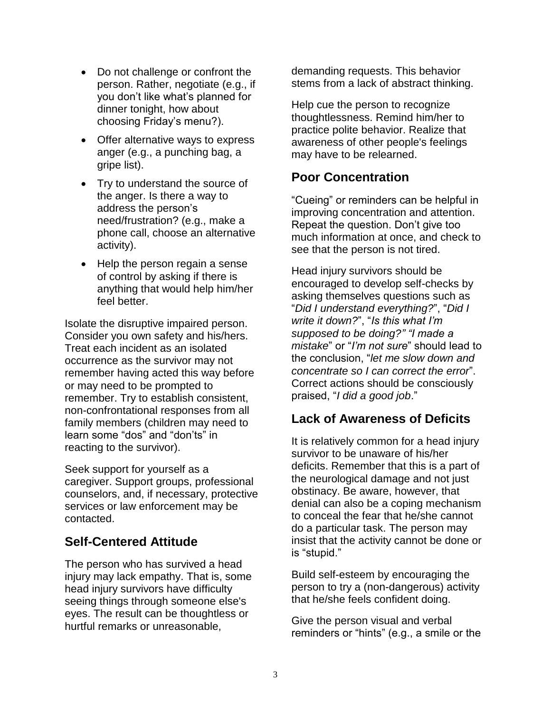- Do not challenge or confront the person. Rather, negotiate (e.g., if you don't like what's planned for dinner tonight, how about choosing Friday's menu?).
- Offer alternative ways to express anger (e.g., a punching bag, a gripe list).
- Try to understand the source of the anger. Is there a way to address the person's need/frustration? (e.g., make a phone call, choose an alternative activity).
- Help the person regain a sense of control by asking if there is anything that would help him/her feel better.

Isolate the disruptive impaired person. Consider you own safety and his/hers. Treat each incident as an isolated occurrence as the survivor may not remember having acted this way before or may need to be prompted to remember. Try to establish consistent, non-confrontational responses from all family members (children may need to learn some "dos" and "don'ts" in reacting to the survivor).

Seek support for yourself as a caregiver. Support groups, professional counselors, and, if necessary, protective services or law enforcement may be contacted.

## **Self-Centered Attitude**

The person who has survived a head injury may lack empathy. That is, some head injury survivors have difficulty seeing things through someone else's eyes. The result can be thoughtless or hurtful remarks or unreasonable,

demanding requests. This behavior stems from a lack of abstract thinking.

Help cue the person to recognize thoughtlessness. Remind him/her to practice polite behavior. Realize that awareness of other people's feelings may have to be relearned.

## **Poor Concentration**

"Cueing" or reminders can be helpful in improving concentration and attention. Repeat the question. Don't give too much information at once, and check to see that the person is not tired.

Head injury survivors should be encouraged to develop self-checks by asking themselves questions such as "*Did I understand everything?*", "*Did I write it down?*", "*Is this what I'm supposed to be doing?" "I made a mistake*" or "*I'm not sure*" should lead to the conclusion, "*let me slow down and concentrate so I can correct the error*". Correct actions should be consciously praised, "*I did a good job*."

## **Lack of Awareness of Deficits**

It is relatively common for a head injury survivor to be unaware of his/her deficits. Remember that this is a part of the neurological damage and not just obstinacy. Be aware, however, that denial can also be a coping mechanism to conceal the fear that he/she cannot do a particular task. The person may insist that the activity cannot be done or is "stupid."

Build self-esteem by encouraging the person to try a (non-dangerous) activity that he/she feels confident doing.

Give the person visual and verbal reminders or "hints" (e.g., a smile or the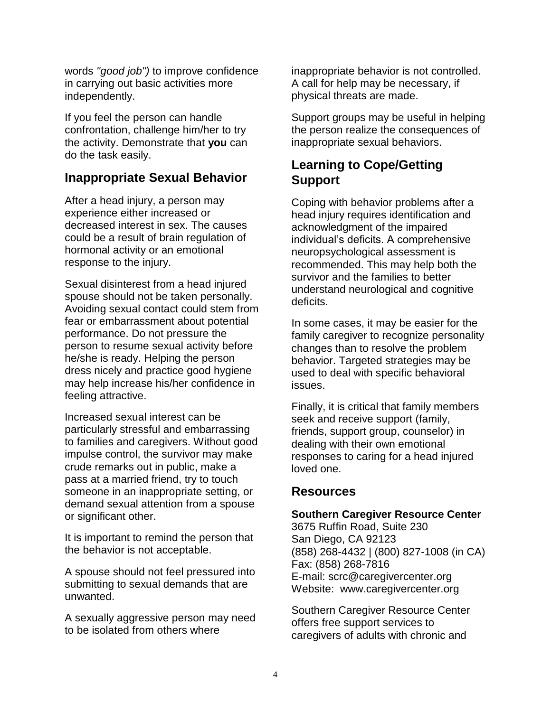words *"good job")* to improve confidence in carrying out basic activities more independently.

If you feel the person can handle confrontation, challenge him/her to try the activity. Demonstrate that **you** can do the task easily.

## **Inappropriate Sexual Behavior**

After a head injury, a person may experience either increased or decreased interest in sex. The causes could be a result of brain regulation of hormonal activity or an emotional response to the injury.

Sexual disinterest from a head injured spouse should not be taken personally. Avoiding sexual contact could stem from fear or embarrassment about potential performance. Do not pressure the person to resume sexual activity before he/she is ready. Helping the person dress nicely and practice good hygiene may help increase his/her confidence in feeling attractive.

Increased sexual interest can be particularly stressful and embarrassing to families and caregivers. Without good impulse control, the survivor may make crude remarks out in public, make a pass at a married friend, try to touch someone in an inappropriate setting, or demand sexual attention from a spouse or significant other.

It is important to remind the person that the behavior is not acceptable.

A spouse should not feel pressured into submitting to sexual demands that are unwanted.

A sexually aggressive person may need to be isolated from others where

inappropriate behavior is not controlled. A call for help may be necessary, if physical threats are made.

Support groups may be useful in helping the person realize the consequences of inappropriate sexual behaviors.

## **Learning to Cope/Getting Support**

Coping with behavior problems after a head injury requires identification and acknowledgment of the impaired individual's deficits. A comprehensive neuropsychological assessment is recommended. This may help both the survivor and the families to better understand neurological and cognitive deficits.

In some cases, it may be easier for the family caregiver to recognize personality changes than to resolve the problem behavior. Targeted strategies may be used to deal with specific behavioral issues.

Finally, it is critical that family members seek and receive support (family, friends, support group, counselor) in dealing with their own emotional responses to caring for a head injured loved one.

## **Resources**

#### **Southern Caregiver Resource Center**

3675 Ruffin Road, Suite 230 San Diego, CA 92123 (858) 268-4432 | (800) 827-1008 (in CA) Fax: (858) 268-7816 E-mail: scrc@caregivercenter.org Website: www.caregivercenter.org

Southern Caregiver Resource Center offers free support services to caregivers of adults with chronic and